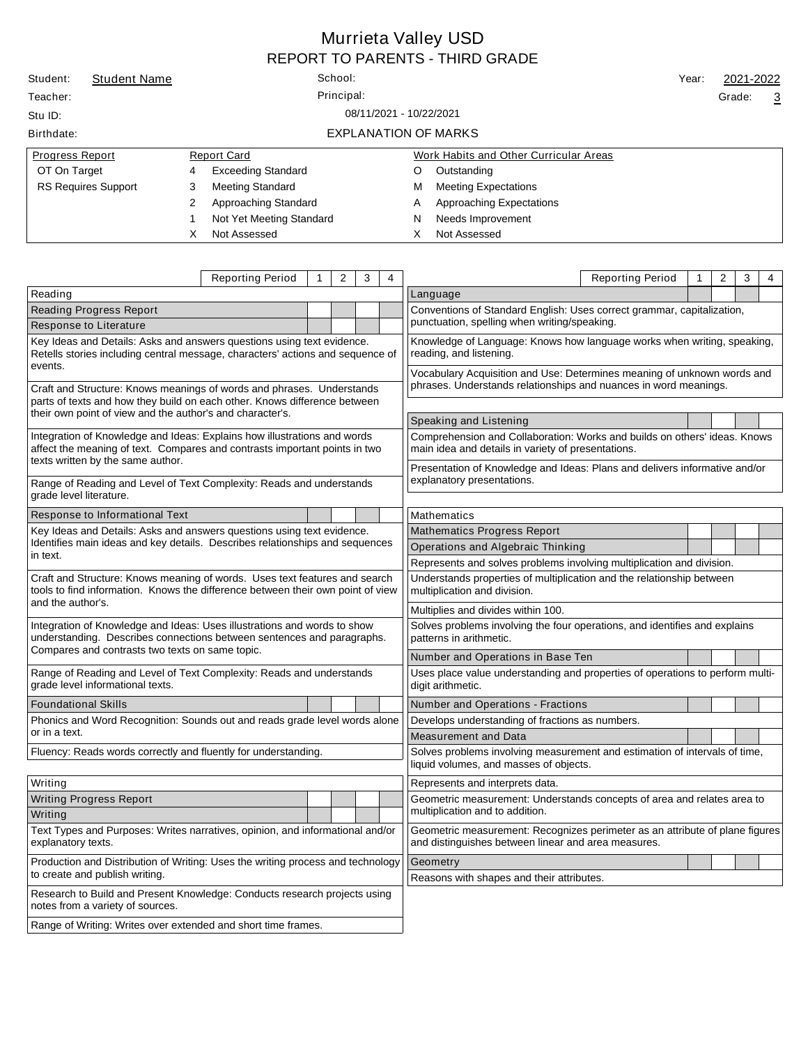|                                    |                            |   |                           |       |           | <b>REPORT TO PARENTS - THIRD GRADE</b> |  |        |                |
|------------------------------------|----------------------------|---|---------------------------|-------|-----------|----------------------------------------|--|--------|----------------|
| Student:                           | <b>Student Name</b>        |   | School:                   | Year: | 2021-2022 |                                        |  |        |                |
| Teacher:                           | Principal:                 |   |                           |       |           |                                        |  | Grade: | $\overline{3}$ |
| 08/11/2021 - 10/22/2021<br>Stu ID: |                            |   |                           |       |           |                                        |  |        |                |
| Birthdate:                         |                            |   | EXPLANATION OF MARKS      |       |           |                                        |  |        |                |
| <b>Progress Report</b>             |                            |   | <b>Report Card</b>        |       |           | Work Habits and Other Curricular Areas |  |        |                |
| OT On Target                       |                            | 4 | <b>Exceeding Standard</b> |       | O         | Outstanding                            |  |        |                |
|                                    | <b>RS Requires Support</b> | 3 | <b>Meeting Standard</b>   |       | м         | <b>Meeting Expectations</b>            |  |        |                |
|                                    |                            | 2 | Approaching Standard      |       | A         | Approaching Expectations               |  |        |                |
|                                    |                            |   | Not Yet Meeting Standard  |       | N         | Needs Improvement                      |  |        |                |
|                                    |                            | X | Not Assessed              |       | х         | Not Assessed                           |  |        |                |

Murrieta Valley USD

|                                                                                                                                                                                             | <b>Reporting Period</b> | $\mathbf{1}$                                                                                             | 2                                            | 3 | $\overline{4}$                                                                                        |                                                                                                                                     | <b>Reporting Period</b>                                                 | $\mathbf{1}$ | $\overline{2}$ | 3<br>4 |  |  |
|---------------------------------------------------------------------------------------------------------------------------------------------------------------------------------------------|-------------------------|----------------------------------------------------------------------------------------------------------|----------------------------------------------|---|-------------------------------------------------------------------------------------------------------|-------------------------------------------------------------------------------------------------------------------------------------|-------------------------------------------------------------------------|--------------|----------------|--------|--|--|
| Reading                                                                                                                                                                                     |                         |                                                                                                          |                                              |   |                                                                                                       | Language                                                                                                                            |                                                                         |              |                |        |  |  |
| <b>Reading Progress Report</b>                                                                                                                                                              |                         |                                                                                                          |                                              |   |                                                                                                       | Conventions of Standard English: Uses correct grammar, capitalization,                                                              |                                                                         |              |                |        |  |  |
| Response to Literature                                                                                                                                                                      |                         |                                                                                                          | punctuation, spelling when writing/speaking. |   |                                                                                                       |                                                                                                                                     |                                                                         |              |                |        |  |  |
| Key Ideas and Details: Asks and answers questions using text evidence.<br>Retells stories including central message, characters' actions and sequence of                                    |                         |                                                                                                          |                                              |   | Knowledge of Language: Knows how language works when writing, speaking,<br>reading, and listening.    |                                                                                                                                     |                                                                         |              |                |        |  |  |
| events.                                                                                                                                                                                     |                         |                                                                                                          |                                              |   |                                                                                                       |                                                                                                                                     | Vocabulary Acquisition and Use: Determines meaning of unknown words and |              |                |        |  |  |
| Craft and Structure: Knows meanings of words and phrases. Understands<br>parts of texts and how they build on each other. Knows difference between                                          |                         |                                                                                                          |                                              |   | phrases. Understands relationships and nuances in word meanings.                                      |                                                                                                                                     |                                                                         |              |                |        |  |  |
| their own point of view and the author's and character's.                                                                                                                                   |                         |                                                                                                          |                                              |   |                                                                                                       | Speaking and Listening                                                                                                              |                                                                         |              |                |        |  |  |
| Integration of Knowledge and Ideas: Explains how illustrations and words<br>affect the meaning of text. Compares and contrasts important points in two<br>texts written by the same author. |                         |                                                                                                          |                                              |   |                                                                                                       | Comprehension and Collaboration: Works and builds on others' ideas. Knows<br>main idea and details in variety of presentations.     |                                                                         |              |                |        |  |  |
| Range of Reading and Level of Text Complexity: Reads and understands<br>grade level literature.                                                                                             |                         | Presentation of Knowledge and Ideas: Plans and delivers informative and/or<br>explanatory presentations. |                                              |   |                                                                                                       |                                                                                                                                     |                                                                         |              |                |        |  |  |
| Response to Informational Text                                                                                                                                                              |                         |                                                                                                          |                                              |   |                                                                                                       | Mathematics                                                                                                                         |                                                                         |              |                |        |  |  |
| Key Ideas and Details: Asks and answers questions using text evidence.                                                                                                                      |                         |                                                                                                          |                                              |   |                                                                                                       | <b>Mathematics Progress Report</b>                                                                                                  |                                                                         |              |                |        |  |  |
| Identifies main ideas and key details. Describes relationships and sequences                                                                                                                |                         |                                                                                                          |                                              |   |                                                                                                       | Operations and Algebraic Thinking                                                                                                   |                                                                         |              |                |        |  |  |
| in text.                                                                                                                                                                                    |                         |                                                                                                          |                                              |   |                                                                                                       | Represents and solves problems involving multiplication and division.                                                               |                                                                         |              |                |        |  |  |
| Craft and Structure: Knows meaning of words. Uses text features and search<br>tools to find information. Knows the difference between their own point of view                               |                         |                                                                                                          |                                              |   | Understands properties of multiplication and the relationship between<br>multiplication and division. |                                                                                                                                     |                                                                         |              |                |        |  |  |
| and the author's.                                                                                                                                                                           |                         |                                                                                                          |                                              |   |                                                                                                       | Multiplies and divides within 100.                                                                                                  |                                                                         |              |                |        |  |  |
| Integration of Knowledge and Ideas: Uses illustrations and words to show<br>understanding. Describes connections between sentences and paragraphs.                                          |                         |                                                                                                          |                                              |   | Solves problems involving the four operations, and identifies and explains<br>patterns in arithmetic. |                                                                                                                                     |                                                                         |              |                |        |  |  |
| Compares and contrasts two texts on same topic.                                                                                                                                             |                         |                                                                                                          |                                              |   |                                                                                                       | Number and Operations in Base Ten                                                                                                   |                                                                         |              |                |        |  |  |
| Range of Reading and Level of Text Complexity: Reads and understands<br>grade level informational texts.                                                                                    |                         |                                                                                                          |                                              |   |                                                                                                       | Uses place value understanding and properties of operations to perform multi-<br>digit arithmetic.                                  |                                                                         |              |                |        |  |  |
| <b>Foundational Skills</b>                                                                                                                                                                  |                         |                                                                                                          |                                              |   |                                                                                                       | Number and Operations - Fractions                                                                                                   |                                                                         |              |                |        |  |  |
| Phonics and Word Recognition: Sounds out and reads grade level words alone                                                                                                                  |                         |                                                                                                          |                                              |   |                                                                                                       | Develops understanding of fractions as numbers.                                                                                     |                                                                         |              |                |        |  |  |
| or in a text.                                                                                                                                                                               |                         |                                                                                                          |                                              |   |                                                                                                       | <b>Measurement and Data</b>                                                                                                         |                                                                         |              |                |        |  |  |
| Fluency: Reads words correctly and fluently for understanding.                                                                                                                              |                         |                                                                                                          |                                              |   |                                                                                                       | Solves problems involving measurement and estimation of intervals of time,<br>liquid volumes, and masses of objects.                |                                                                         |              |                |        |  |  |
| Writing                                                                                                                                                                                     |                         |                                                                                                          |                                              |   |                                                                                                       | Represents and interprets data.                                                                                                     |                                                                         |              |                |        |  |  |
| <b>Writing Progress Report</b>                                                                                                                                                              |                         |                                                                                                          |                                              |   |                                                                                                       | Geometric measurement: Understands concepts of area and relates area to                                                             |                                                                         |              |                |        |  |  |
| Writing                                                                                                                                                                                     |                         | multiplication and to addition.                                                                          |                                              |   |                                                                                                       |                                                                                                                                     |                                                                         |              |                |        |  |  |
| Text Types and Purposes: Writes narratives, opinion, and informational and/or<br>explanatory texts.                                                                                         |                         |                                                                                                          |                                              |   |                                                                                                       | Geometric measurement: Recognizes perimeter as an attribute of plane figures<br>and distinguishes between linear and area measures. |                                                                         |              |                |        |  |  |
| Production and Distribution of Writing: Uses the writing process and technology<br>to create and publish writing.                                                                           |                         |                                                                                                          |                                              |   | Geometry                                                                                              |                                                                                                                                     |                                                                         |              |                |        |  |  |
|                                                                                                                                                                                             |                         |                                                                                                          |                                              |   |                                                                                                       | Reasons with shapes and their attributes.                                                                                           |                                                                         |              |                |        |  |  |
| Research to Build and Present Knowledge: Conducts research projects using<br>notes from a variety of sources.                                                                               |                         |                                                                                                          |                                              |   |                                                                                                       |                                                                                                                                     |                                                                         |              |                |        |  |  |
| Range of Writing: Writes over extended and short time frames.                                                                                                                               |                         |                                                                                                          |                                              |   |                                                                                                       |                                                                                                                                     |                                                                         |              |                |        |  |  |